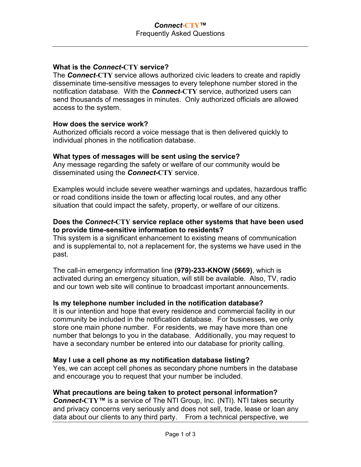# **What is the** *Connect***-CTY service?**

The *Connect***-CTY** service allows authorized civic leaders to create and rapidly disseminate time-sensitive messages to every telephone number stored in the notification database. With the *Connect***-CTY** service, authorized users can send thousands of messages in minutes. Only authorized officials are allowed access to the system.

# **How does the service work?**

Authorized officials record a voice message that is then delivered quickly to individual phones in the notification database.

#### **What types of messages will be sent using the service?**

Any message regarding the safety or welfare of our community would be disseminated using the *Connect***-CTY** service.

Examples would include severe weather warnings and updates, hazardous traffic or road conditions inside the town or affecting local routes, and any other situation that could impact the safety, property, or welfare of our citizens.

# **Does the** *Connect***-CTY service replace other systems that have been used to provide time-sensitive information to residents?**

This system is a significant enhancement to existing means of communication and is supplemental to, not a replacement for, the systems we have used in the past.

The call-in emergency information line **(979)-233-KNOW (5669)**, which is activated during an emergency situation, will still be available. Also, TV, radio and our town web site will continue to broadcast important announcements.

# **Is my telephone number included in the notification database?**

It is our intention and hope that every residence and commercial facility in our community be included in the notification database. For businesses, we only store one main phone number. For residents, we may have more than one number that belongs to you in the database. Additionally, you may request to have a secondary number be entered into our database for priority calling.

#### **May I use a cell phone as my notification database listing?**

Yes, we can accept cell phones as secondary phone numbers in the database and encourage you to request that your number be included.

# **What precautions are being taken to protect personal information?**

*Connect***-CTY™** is a service of The NTI Group, Inc. (NTI). NTI takes security and privacy concerns very seriously and does not sell, trade, lease or loan any data about our clients to any third party. From a technical perspective, we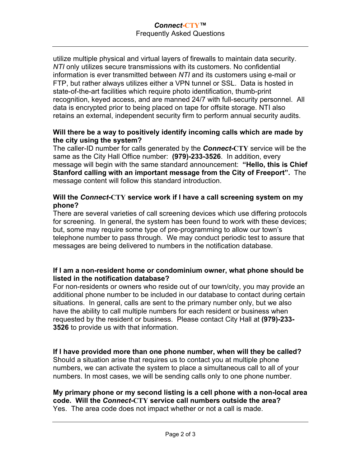#### *Connect***-CTY™**  Frequently Asked Questions

utilize multiple physical and virtual layers of firewalls to maintain data security. *NTI* only utilizes secure transmissions with its customers. No confidential information is ever transmitted between *NTI* and its customers using e-mail or FTP, but rather always utilizes either a VPN tunnel or SSL. Data is hosted in state-of-the-art facilities which require photo identification, thumb-print recognition, keyed access, and are manned 24/7 with full-security personnel. All data is encrypted prior to being placed on tape for offsite storage. NTI also retains an external, independent security firm to perform annual security audits.

## **Will there be a way to positively identify incoming calls which are made by the city using the system?**

The caller-ID number for calls generated by the *Connect***-CTY** service will be the same as the City Hall Office number: **(979)-233-3526**. In addition, every message will begin with the same standard announcement: **"Hello, this is Chief Stanford calling with an important message from the City of Freeport".** The message content will follow this standard introduction.

# **Will the** *Connect***-CTY service work if I have a call screening system on my phone?**

There are several varieties of call screening devices which use differing protocols for screening. In general, the system has been found to work with these devices; but, some may require some type of pre-programming to allow our town's telephone number to pass through. We may conduct periodic test to assure that messages are being delivered to numbers in the notification database.

# **If I am a non-resident home or condominium owner, what phone should be listed in the notification database?**

For non-residents or owners who reside out of our town/city, you may provide an additional phone number to be included in our database to contact during certain situations. In general, calls are sent to the primary number only, but we also have the ability to call multiple numbers for each resident or business when requested by the resident or business. Please contact City Hall at **(979)-233- 3526** to provide us with that information.

# **If I have provided more than one phone number, when will they be called?**

Should a situation arise that requires us to contact you at multiple phone numbers, we can activate the system to place a simultaneous call to all of your numbers. In most cases, we will be sending calls only to one phone number.

#### **My primary phone or my second listing is a cell phone with a non-local area code. Will the** *Connect***-CTY service call numbers outside the area?**  Yes. The area code does not impact whether or not a call is made.